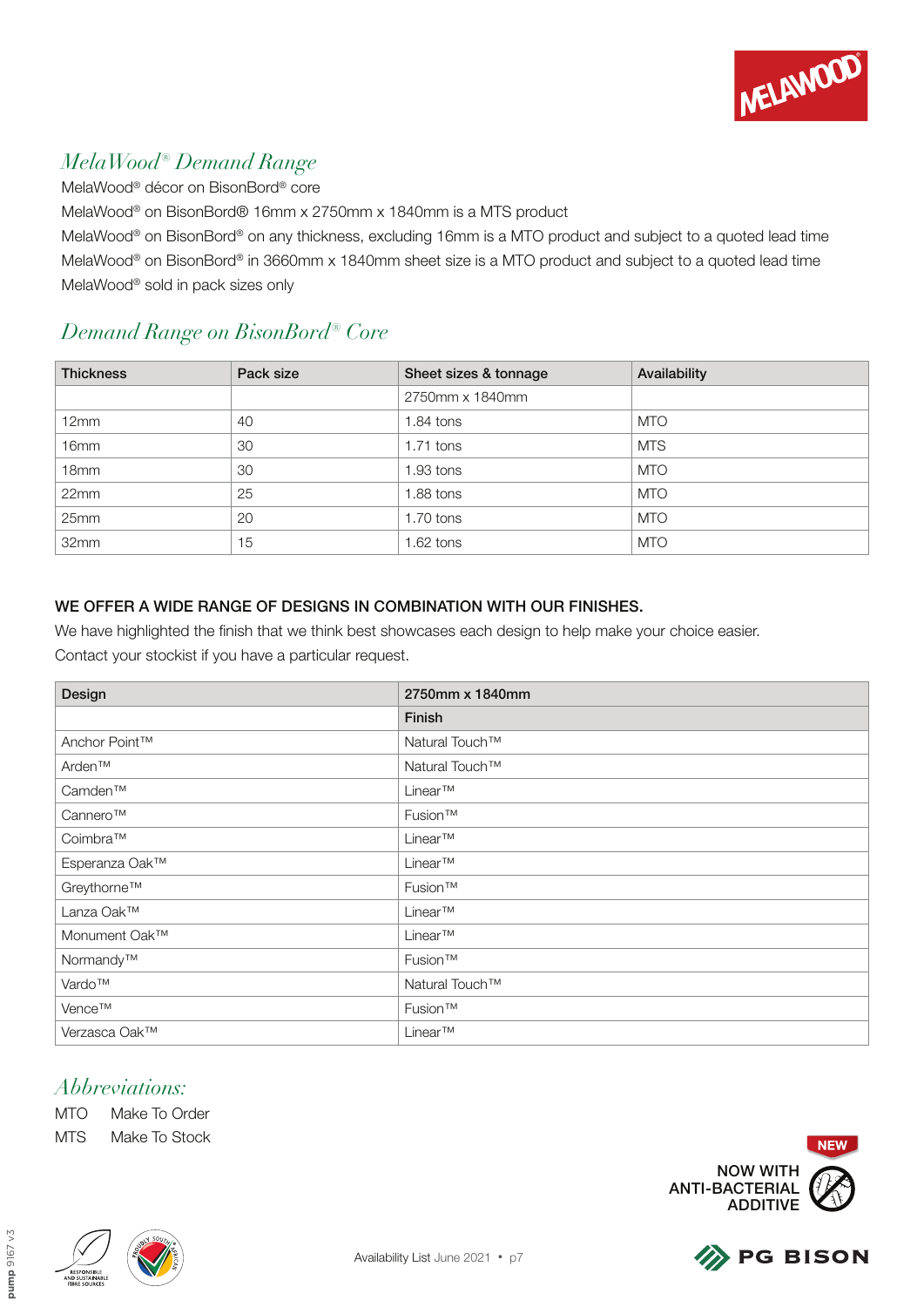

# *MelaWood® Demand Range*

MelaWood® décor on BisonBord® core

MelaWood® on BisonBord® 16mm x 2750mm x 1840mm is a MTS product

MelaWood® on BisonBord® on any thickness, excluding 16mm is a MTO product and subject to a quoted lead time MelaWood® on BisonBord® in 3660mm x 1840mm sheet size is a MTO product and subject to a quoted lead time MelaWood® sold in pack sizes only

## *Demand Range on BisonBord® Core*

| <b>Thickness</b> | Pack size | Sheet sizes & tonnage | Availability |
|------------------|-----------|-----------------------|--------------|
|                  |           | 2750mm x 1840mm       |              |
| 12mm             | 40        | 1.84 tons             | <b>MTO</b>   |
| 16mm             | 30        | $1.71$ tons           | <b>MTS</b>   |
| 18 <sub>mm</sub> | 30        | 1.93 tons             | <b>MTO</b>   |
| 22mm             | 25        | 1.88 tons             | <b>MTO</b>   |
| 25mm             | 20        | 1.70 tons             | <b>MTO</b>   |
| 32mm             | 15        | 1.62 tons             | <b>MTO</b>   |

#### WE OFFER A WIDE RANGE OF DESIGNS IN COMBINATION WITH OUR FINISHES.

We have highlighted the finish that we think best showcases each design to help make your choice easier.

Contact your stockist if you have a particular request.

| Design         | 2750mm x 1840mm |
|----------------|-----------------|
|                | Finish          |
| Anchor Point™  | Natural Touch™  |
| Arden™         | Natural Touch™  |
| Camden™        | $Linear^{TM}$   |
| Cannero™       | Fusion™         |
| Coimbra™       | $Linear^{TM}$   |
| Esperanza Oak™ | Linear™         |
| Greythorne™    | Fusion™         |
| Lanza Oak™     | Linear™         |
| Monument Oak™  | Linear™         |
| Normandy™      | Fusion™         |
| Vardo™         | Natural Touch™  |
| Vence™         | Fusion™         |
| Verzasca Oak™  | Linear™         |

### *Abbreviations:*

MTO Make To Order MTS Make To Stock





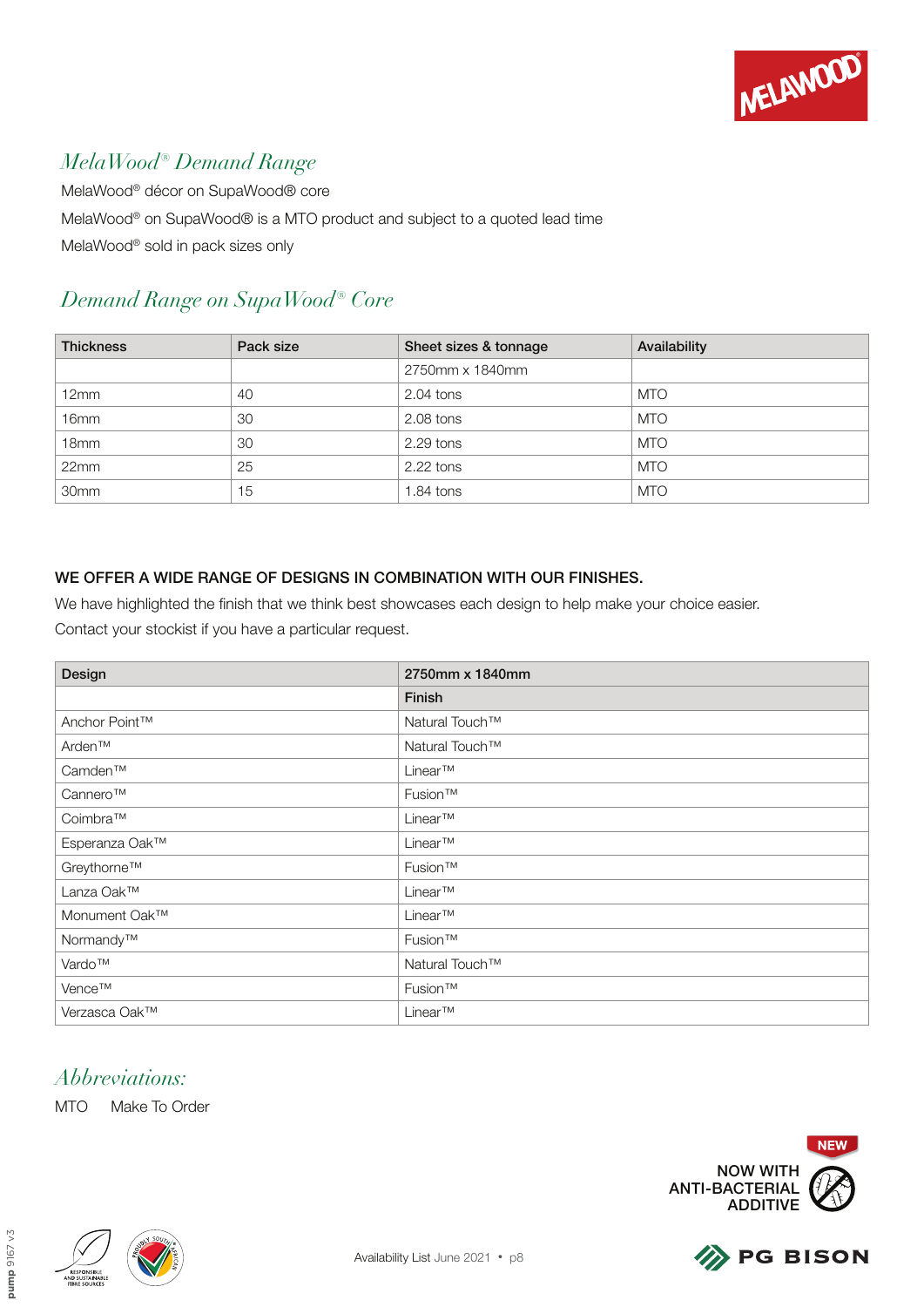

# *MelaWood® Demand Range*

MelaWood® décor on SupaWood® core MelaWood® on SupaWood® is a MTO product and subject to a quoted lead time MelaWood® sold in pack sizes only

# *Demand Range on SupaWood® Core*

| <b>Thickness</b> | Pack size | Sheet sizes & tonnage | Availability |
|------------------|-----------|-----------------------|--------------|
|                  |           | 2750mm x 1840mm       |              |
| 12mm             | 40        | $2.04$ tons           | <b>MTO</b>   |
| 16 <sub>mm</sub> | 30        | 2.08 tons             | <b>MTO</b>   |
| 18 <sub>mm</sub> | 30        | 2.29 tons             | <b>MTO</b>   |
| 22mm             | 25        | $2.22$ tons           | <b>MTO</b>   |
| 30 <sub>mm</sub> | 15        | $1.84$ tons           | <b>MTO</b>   |

#### WE OFFER A WIDE RANGE OF DESIGNS IN COMBINATION WITH OUR FINISHES.

We have highlighted the finish that we think best showcases each design to help make your choice easier.

Contact your stockist if you have a particular request.

| Design         | 2750mm x 1840mm |
|----------------|-----------------|
|                | Finish          |
| Anchor Point™  | Natural Touch™  |
| Arden™         | Natural Touch™  |
| Camden™        | Linear™         |
| Cannero™       | Fusion™         |
| Coimbra™       | Linear™         |
| Esperanza Oak™ | Linear™         |
| Greythorne™    | Fusion™         |
| Lanza Oak™     | Linear™         |
| Monument Oak™  | Linear™         |
| Normandy™      | Fusion™         |
| Vardo™         | Natural Touch™  |
| Vence™         | Fusion™         |
| Verzasca Oak™  | Linear™         |

## *Abbreviations:*





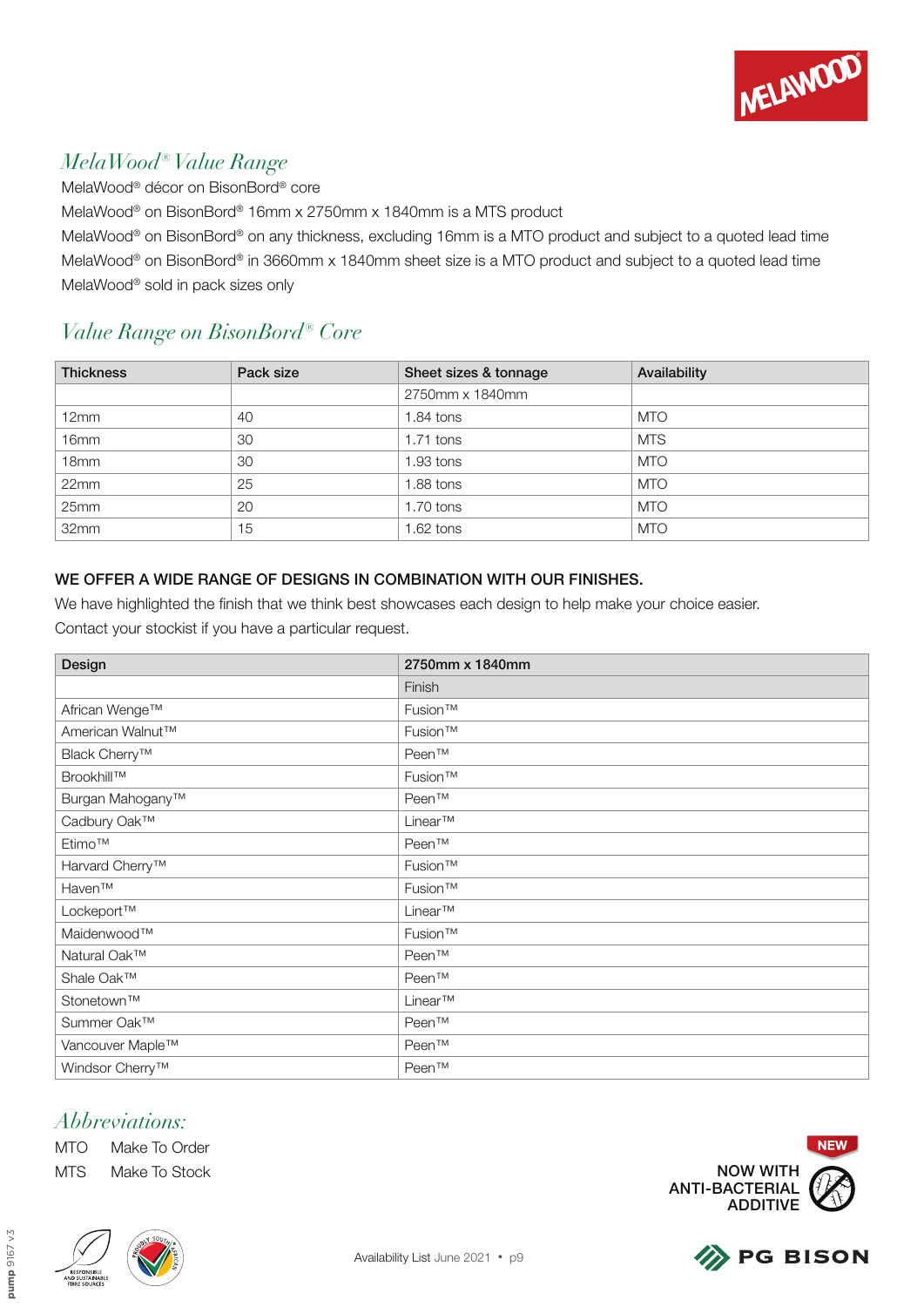

## *MelaWood® Value Range*

MelaWood® décor on BisonBord® core

MelaWood® on BisonBord® 16mm x 2750mm x 1840mm is a MTS product

MelaWood® on BisonBord® on any thickness, excluding 16mm is a MTO product and subject to a quoted lead time MelaWood® on BisonBord® in 3660mm x 1840mm sheet size is a MTO product and subject to a quoted lead time MelaWood® sold in pack sizes only

## *Value Range on BisonBord® Core*

| <b>Thickness</b> | Pack size | Sheet sizes & tonnage | Availability |
|------------------|-----------|-----------------------|--------------|
|                  |           | 2750mm x 1840mm       |              |
| 12mm             | 40        | 1.84 tons             | <b>MTO</b>   |
| 16 <sub>mm</sub> | 30        | $1.71$ tons           | <b>MTS</b>   |
| 18 <sub>mm</sub> | 30        | 1.93 tons             | <b>MTO</b>   |
| 22mm             | 25        | 1.88 tons             | <b>MTO</b>   |
| 25mm             | 20        | 1.70 tons             | <b>MTO</b>   |
| 32mm             | 15        | 1.62 tons             | <b>MTO</b>   |

#### WE OFFER A WIDE RANGE OF DESIGNS IN COMBINATION WITH OUR FINISHES.

We have highlighted the finish that we think best showcases each design to help make your choice easier. Contact your stockist if you have a particular request.

| Design                       | 2750mm x 1840mm     |
|------------------------------|---------------------|
|                              | Finish              |
| African Wenge™               | Fusion <sup>™</sup> |
| American Walnut™             | Fusion™             |
| Black Cherry <sup>™</sup>    | Peen™               |
| Brookhill™                   | Fusion™             |
| Burgan Mahogany <sup>™</sup> | Peen™               |
| Cadbury Oak™                 | Linear™             |
| Etimo™                       | Peen™               |
| Harvard Cherry <sup>™</sup>  | Fusion™             |
| Haven™                       | Fusion™             |
| Lockeport™                   | Linear™             |
| Maidenwood™                  | Fusion™             |
| Natural Oak™                 | Peen™               |
| Shale Oak™                   | Peen™               |
| Stonetown™                   | Linear™             |
| Summer Oak™                  | Peen™               |
| Vancouver Maple™             | Peen™               |
| Windsor Cherry <sup>™</sup>  | Peen™               |

### *Abbreviations:*

MTO Make To Order MTS Make To Stock



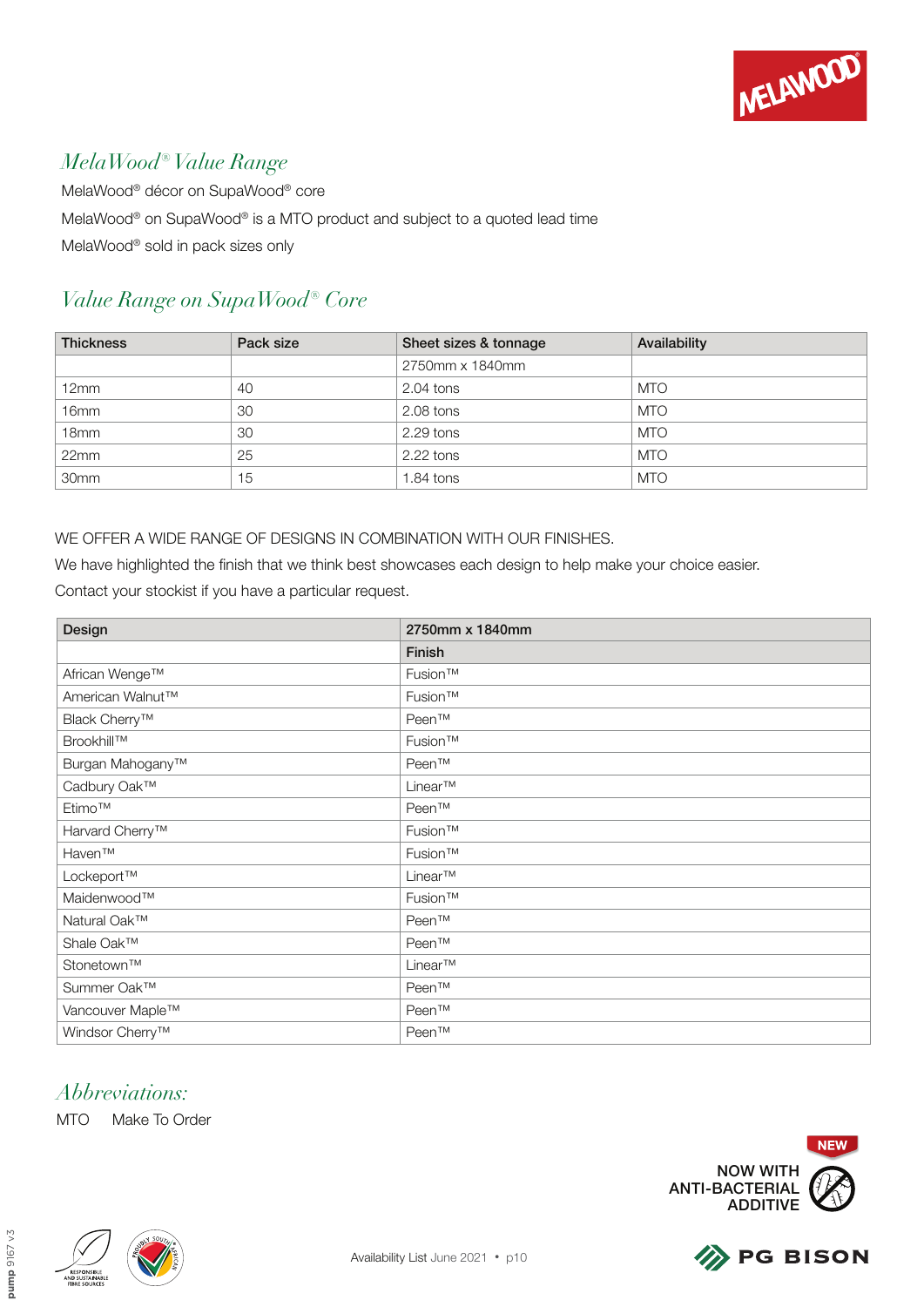

## *MelaWood® Value Range*

MelaWood® décor on SupaWood® core MelaWood® on SupaWood® is a MTO product and subject to a quoted lead time MelaWood® sold in pack sizes only

# *Value Range on SupaWood® Core*

| <b>Thickness</b> | Pack size | Sheet sizes & tonnage | Availability |
|------------------|-----------|-----------------------|--------------|
|                  |           | 2750mm x 1840mm       |              |
| 12mm             | 40        | 2.04 tons             | <b>MTO</b>   |
| 16 <sub>mm</sub> | 30        | 2.08 tons             | <b>MTO</b>   |
| 18 <sub>mm</sub> | 30        | 2.29 tons             | <b>MTO</b>   |
| 22mm             | 25        | 2.22 tons             | <b>MTO</b>   |
| 30mm             | 15        | $1.84$ tons           | <b>MTO</b>   |

#### WE OFFER A WIDE RANGE OF DESIGNS IN COMBINATION WITH OUR FINISHES.

We have highlighted the finish that we think best showcases each design to help make your choice easier. Contact your stockist if you have a particular request.

| Design                       | 2750mm x 1840mm |
|------------------------------|-----------------|
|                              | Finish          |
| African Wenge™               | Fusion™         |
| American Walnut <sup>™</sup> | Fusion™         |
| Black Cherry <sup>™</sup>    | Peen™           |
| Brookhill™                   | Fusion™         |
| Burgan Mahogany <sup>™</sup> | Peen™           |
| Cadbury Oak™                 | Linear™         |
| Etimo™                       | Peen™           |
| Harvard Cherry <sup>™</sup>  | Fusion™         |
| Haven™                       | Fusion™         |
| Lockeport™                   | Linear™         |
| Maidenwood™                  | Fusion™         |
| Natural Oak™                 | Peen™           |
| Shale Oak™                   | Peen™           |
| Stonetown™                   | Linear™         |
| Summer Oak™                  | Peen™           |
| Vancouver Maple™             | Peen™           |
| Windsor Cherry <sup>™</sup>  | Peen™           |

## *Abbreviations:*



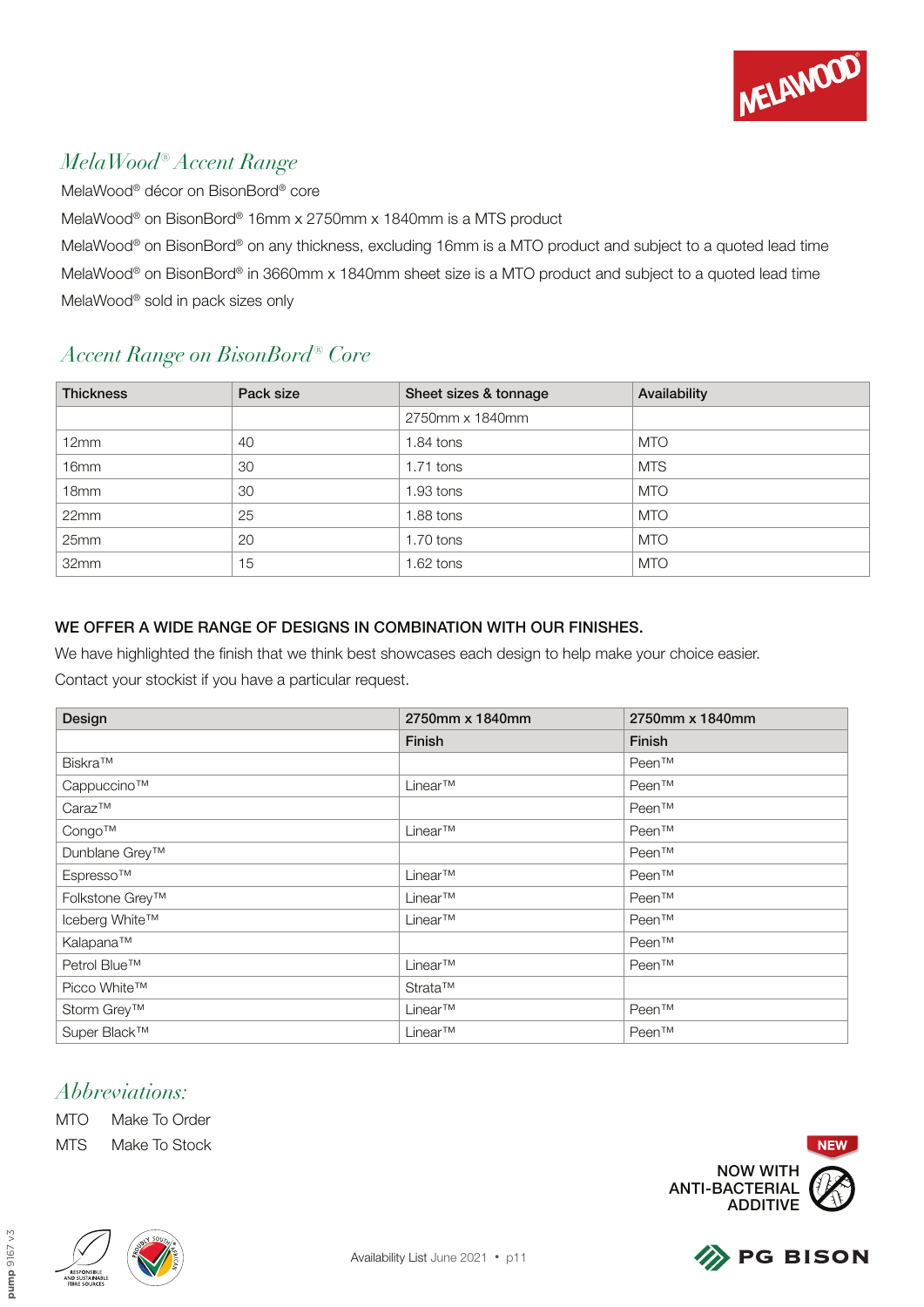

## *MelaWood® Accent Range*

MelaWood® décor on BisonBord® core

MelaWood® on BisonBord® 16mm x 2750mm x 1840mm is a MTS product

MelaWood® on BisonBord® on any thickness, excluding 16mm is a MTO product and subject to a quoted lead time MelaWood® on BisonBord® in 3660mm x 1840mm sheet size is a MTO product and subject to a quoted lead time MelaWood® sold in pack sizes only

# *Accent Range on BisonBord® Core*

| <b>Thickness</b> | Pack size | Sheet sizes & tonnage | Availability |
|------------------|-----------|-----------------------|--------------|
|                  |           | 2750mm x 1840mm       |              |
| 12mm             | 40        | $1.84$ tons           | <b>MTO</b>   |
| 16 <sub>mm</sub> | 30        | $1.71$ tons           | <b>MTS</b>   |
| 18 <sub>mm</sub> | 30        | $1.93$ tons           | MTO          |
| 22mm             | 25        | $1.88$ tons           | <b>MTO</b>   |
| 25mm             | 20        | $1.70$ tons           | <b>MTO</b>   |
| 32mm             | 15        | $1.62$ tons           | <b>MTO</b>   |

#### WE OFFER A WIDE RANGE OF DESIGNS IN COMBINATION WITH OUR FINISHES.

We have highlighted the finish that we think best showcases each design to help make your choice easier.

Contact your stockist if you have a particular request.

| Design          | 2750mm x 1840mm | 2750mm x 1840mm |
|-----------------|-----------------|-----------------|
|                 | <b>Finish</b>   | <b>Finish</b>   |
| Biskra™         |                 | Peen™           |
| Cappuccino™     | Linear™         | Peen™           |
| $Caraz^{TM}$    |                 | Peen™           |
| Congo™          | Linear™         | Peen™           |
| Dunblane Grey™  |                 | Peen™           |
| Espresso™       | Linear™         | Peen™           |
| Folkstone Grey™ | Linear™         | Peen™           |
| Iceberg White™  | Linear™         | Peen™           |
| Kalapana™       |                 | Peen™           |
| Petrol Blue™    | Linear™         | Peen™           |
| Picco White™    | Strata™         |                 |
| Storm Grey™     | Linear™         | Peen™           |
| Super Black™    | Linear™         | Peen™           |

# *Abbreviations:*

MTO Make To Order MTS Make To Stock





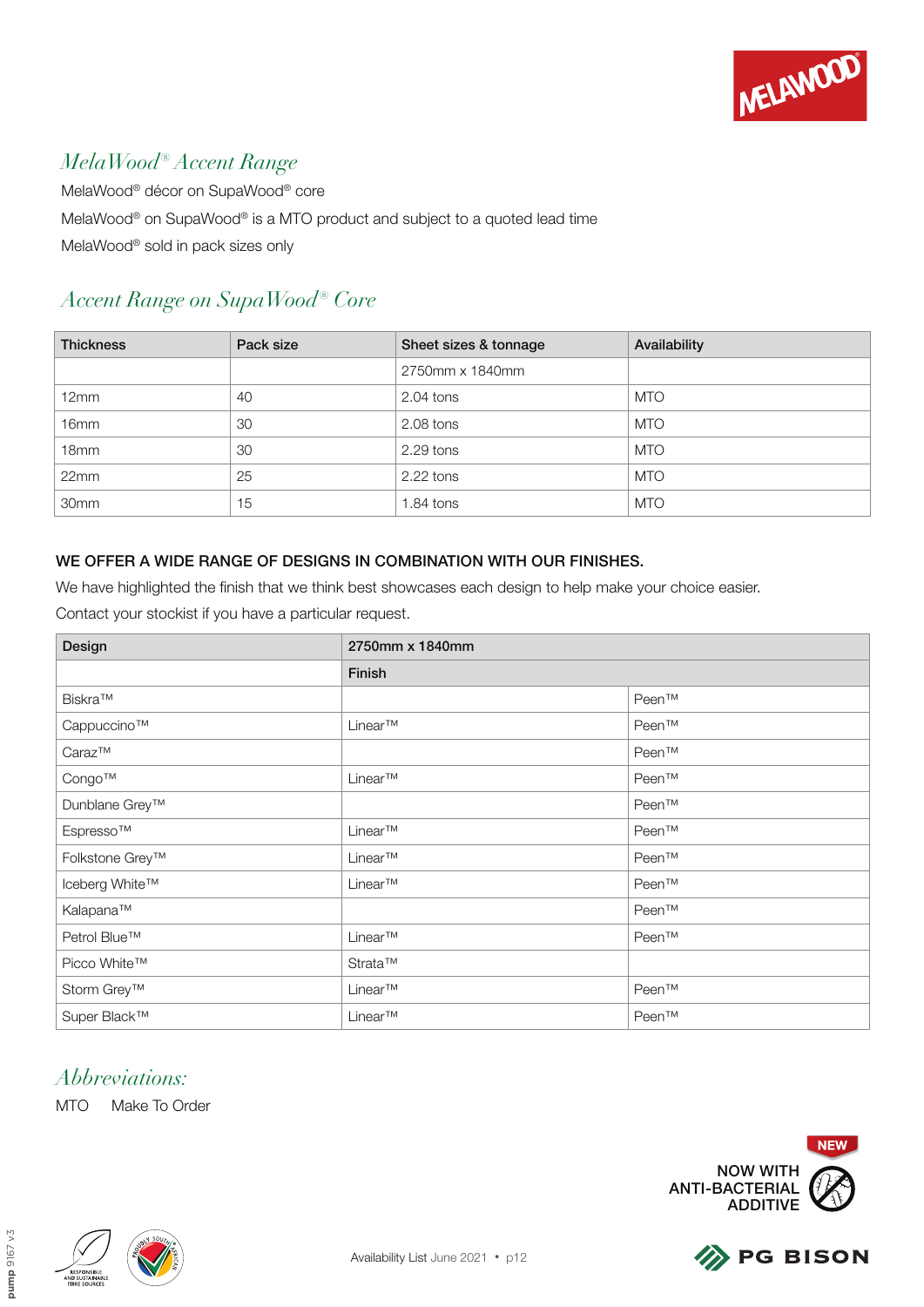

## *MelaWood® Accent Range*

MelaWood® décor on SupaWood® core MelaWood® on SupaWood® is a MTO product and subject to a quoted lead time MelaWood® sold in pack sizes only

## *Accent Range on SupaWood® Core*

| <b>Thickness</b> | Pack size | Sheet sizes & tonnage | Availability |
|------------------|-----------|-----------------------|--------------|
|                  |           | 2750mm x 1840mm       |              |
| 12mm             | 40        | $2.04$ tons           | <b>MTO</b>   |
| 16mm             | 30        | 2.08 tons             | <b>MTO</b>   |
| 18 <sub>mm</sub> | 30        | 2.29 tons             | <b>MTO</b>   |
| 22mm             | 25        | $2.22$ tons           | <b>MTO</b>   |
| 30mm             | 15        | $1.84$ tons           | <b>MTO</b>   |

#### WE OFFER A WIDE RANGE OF DESIGNS IN COMBINATION WITH OUR FINISHES.

We have highlighted the finish that we think best showcases each design to help make your choice easier.

Design 2750mm x 1840mm Finish Biskra™ Peen™ Cappuccino™ Peen™ Linear™ Peen™ Peen™ Caraz™ Peen™ Congo™ Linear™ Peen™ Dunblane Grey™ Peen™ Espresso™ Reen™ Linear™ Peen™ Folkstone Grey™ Linear™ Peen™ Iceberg White™ Linear™ Peen™ Kalapana™ Peen™ Petrol Blue™ Peen™ Linear™ Linear™ Peen™ Peen™ Picco White™ Strata™ Storm Grey™ Linear™ Linear™ Peen™ Peen™ Super Black™ Linear™ Linear™ Peen™ Peen™ Contact your stockist if you have a particular request.

## *Abbreviations:*